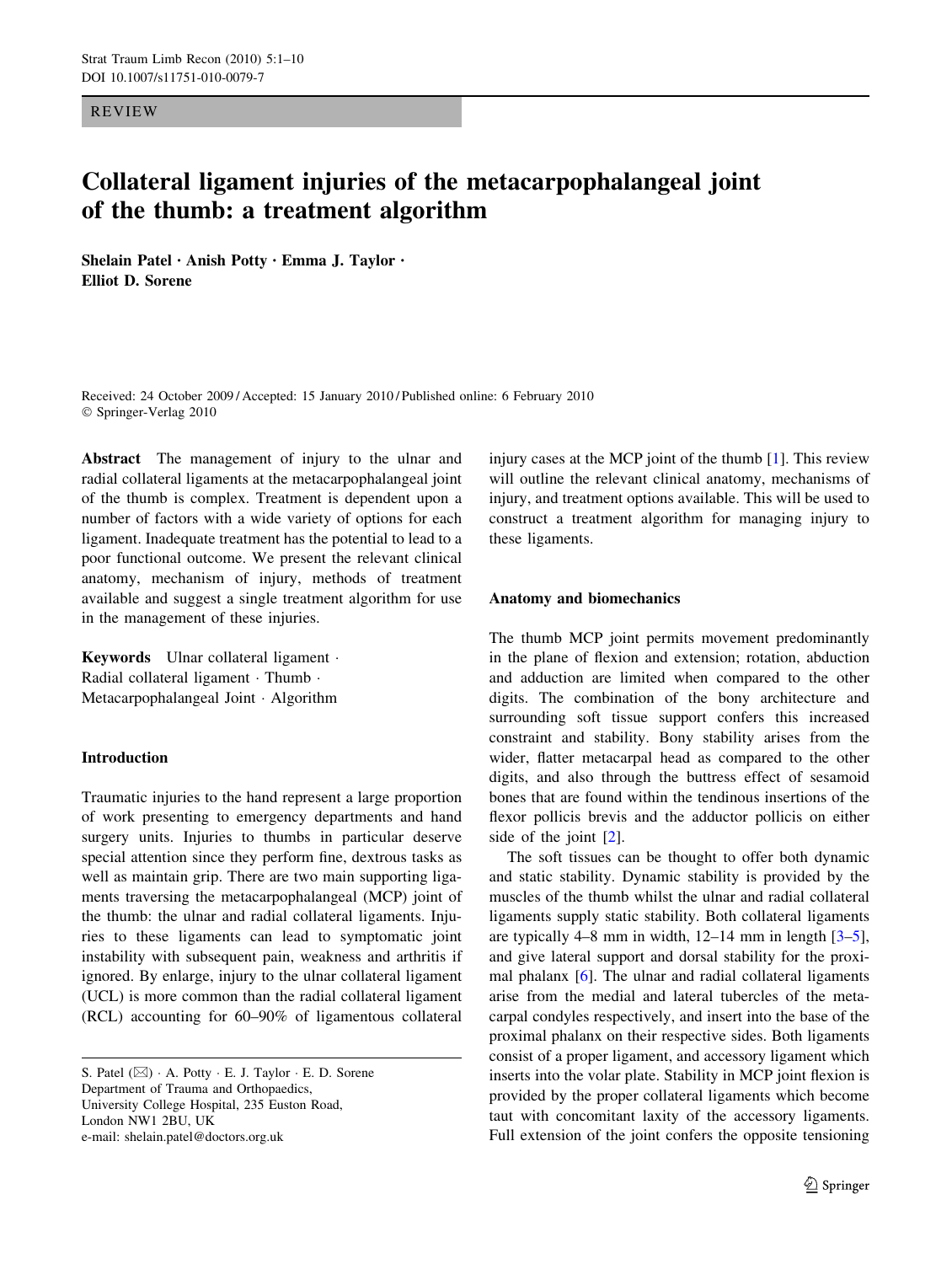REVIEW

# Collateral ligament injuries of the metacarpophalangeal joint of the thumb: a treatment algorithm

Shelain Patel • Anish Potty • Emma J. Taylor • Elliot D. Sorene

Received: 24 October 2009 / Accepted: 15 January 2010 / Published online: 6 February 2010 Springer-Verlag 2010

Abstract The management of injury to the ulnar and radial collateral ligaments at the metacarpophalangeal joint of the thumb is complex. Treatment is dependent upon a number of factors with a wide variety of options for each ligament. Inadequate treatment has the potential to lead to a poor functional outcome. We present the relevant clinical anatomy, mechanism of injury, methods of treatment available and suggest a single treatment algorithm for use in the management of these injuries.

Keywords Ulnar collateral ligament · Radial collateral ligament · Thumb · Metacarpophalangeal Joint · Algorithm

## Introduction

Traumatic injuries to the hand represent a large proportion of work presenting to emergency departments and hand surgery units. Injuries to thumbs in particular deserve special attention since they perform fine, dextrous tasks as well as maintain grip. There are two main supporting ligaments traversing the metacarpophalangeal (MCP) joint of the thumb: the ulnar and radial collateral ligaments. Injuries to these ligaments can lead to symptomatic joint instability with subsequent pain, weakness and arthritis if ignored. By enlarge, injury to the ulnar collateral ligament (UCL) is more common than the radial collateral ligament (RCL) accounting for 60–90% of ligamentous collateral injury cases at the MCP joint of the thumb [\[1](#page-8-0)]. This review will outline the relevant clinical anatomy, mechanisms of injury, and treatment options available. This will be used to construct a treatment algorithm for managing injury to these ligaments.

## Anatomy and biomechanics

The thumb MCP joint permits movement predominantly in the plane of flexion and extension; rotation, abduction and adduction are limited when compared to the other digits. The combination of the bony architecture and surrounding soft tissue support confers this increased constraint and stability. Bony stability arises from the wider, flatter metacarpal head as compared to the other digits, and also through the buttress effect of sesamoid bones that are found within the tendinous insertions of the flexor pollicis brevis and the adductor pollicis on either side of the joint [[2\]](#page-8-0).

The soft tissues can be thought to offer both dynamic and static stability. Dynamic stability is provided by the muscles of the thumb whilst the ulnar and radial collateral ligaments supply static stability. Both collateral ligaments are typically 4–8 mm in width,  $12-14$  mm in length  $[3-5]$ , and give lateral support and dorsal stability for the proximal phalanx [\[6](#page-8-0)]. The ulnar and radial collateral ligaments arise from the medial and lateral tubercles of the metacarpal condyles respectively, and insert into the base of the proximal phalanx on their respective sides. Both ligaments consist of a proper ligament, and accessory ligament which inserts into the volar plate. Stability in MCP joint flexion is provided by the proper collateral ligaments which become taut with concomitant laxity of the accessory ligaments. Full extension of the joint confers the opposite tensioning

S. Patel  $(\boxtimes)$   $\cdot$  A. Potty  $\cdot$  E. J. Taylor  $\cdot$  E. D. Sorene Department of Trauma and Orthopaedics, University College Hospital, 235 Euston Road, London NW1 2BU, UK e-mail: shelain.patel@doctors.org.uk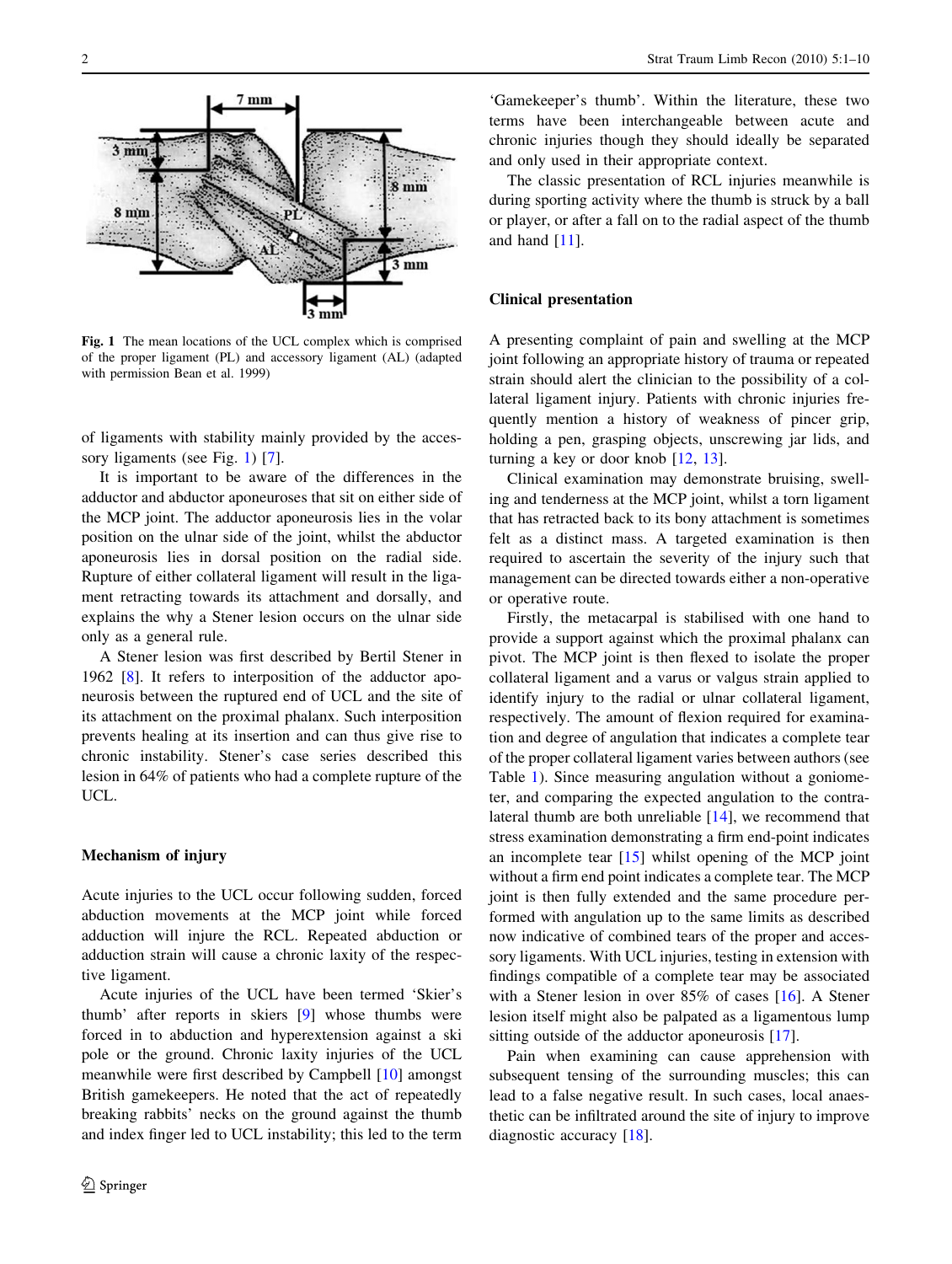

Fig. 1 The mean locations of the UCL complex which is comprised of the proper ligament (PL) and accessory ligament (AL) (adapted with permission Bean et al. 1999)

of ligaments with stability mainly provided by the acces-sory ligaments (see Fig. 1) [\[7](#page-8-0)].

It is important to be aware of the differences in the adductor and abductor aponeuroses that sit on either side of the MCP joint. The adductor aponeurosis lies in the volar position on the ulnar side of the joint, whilst the abductor aponeurosis lies in dorsal position on the radial side. Rupture of either collateral ligament will result in the ligament retracting towards its attachment and dorsally, and explains the why a Stener lesion occurs on the ulnar side only as a general rule.

A Stener lesion was first described by Bertil Stener in 1962 [\[8](#page-8-0)]. It refers to interposition of the adductor aponeurosis between the ruptured end of UCL and the site of its attachment on the proximal phalanx. Such interposition prevents healing at its insertion and can thus give rise to chronic instability. Stener's case series described this lesion in 64% of patients who had a complete rupture of the UCL.

## Mechanism of injury

Acute injuries to the UCL occur following sudden, forced abduction movements at the MCP joint while forced adduction will injure the RCL. Repeated abduction or adduction strain will cause a chronic laxity of the respective ligament.

Acute injuries of the UCL have been termed 'Skier's thumb' after reports in skiers [\[9](#page-8-0)] whose thumbs were forced in to abduction and hyperextension against a ski pole or the ground. Chronic laxity injuries of the UCL meanwhile were first described by Campbell [[10\]](#page-8-0) amongst British gamekeepers. He noted that the act of repeatedly breaking rabbits' necks on the ground against the thumb and index finger led to UCL instability; this led to the term

'Gamekeeper's thumb'. Within the literature, these two terms have been interchangeable between acute and chronic injuries though they should ideally be separated and only used in their appropriate context.

The classic presentation of RCL injuries meanwhile is during sporting activity where the thumb is struck by a ball or player, or after a fall on to the radial aspect of the thumb and hand [[11\]](#page-8-0).

# Clinical presentation

A presenting complaint of pain and swelling at the MCP joint following an appropriate history of trauma or repeated strain should alert the clinician to the possibility of a collateral ligament injury. Patients with chronic injuries frequently mention a history of weakness of pincer grip, holding a pen, grasping objects, unscrewing jar lids, and turning a key or door knob [[12,](#page-8-0) [13\]](#page-8-0).

Clinical examination may demonstrate bruising, swelling and tenderness at the MCP joint, whilst a torn ligament that has retracted back to its bony attachment is sometimes felt as a distinct mass. A targeted examination is then required to ascertain the severity of the injury such that management can be directed towards either a non-operative or operative route.

Firstly, the metacarpal is stabilised with one hand to provide a support against which the proximal phalanx can pivot. The MCP joint is then flexed to isolate the proper collateral ligament and a varus or valgus strain applied to identify injury to the radial or ulnar collateral ligament, respectively. The amount of flexion required for examination and degree of angulation that indicates a complete tear of the proper collateral ligament varies between authors (see Table [1](#page-2-0)). Since measuring angulation without a goniometer, and comparing the expected angulation to the contralateral thumb are both unreliable [\[14](#page-8-0)], we recommend that stress examination demonstrating a firm end-point indicates an incomplete tear [[15](#page-8-0)] whilst opening of the MCP joint without a firm end point indicates a complete tear. The MCP joint is then fully extended and the same procedure performed with angulation up to the same limits as described now indicative of combined tears of the proper and accessory ligaments. With UCL injuries, testing in extension with findings compatible of a complete tear may be associated with a Stener lesion in over 85% of cases [\[16](#page-8-0)]. A Stener lesion itself might also be palpated as a ligamentous lump sitting outside of the adductor aponeurosis [[17\]](#page-8-0).

Pain when examining can cause apprehension with subsequent tensing of the surrounding muscles; this can lead to a false negative result. In such cases, local anaesthetic can be infiltrated around the site of injury to improve diagnostic accuracy [[18\]](#page-8-0).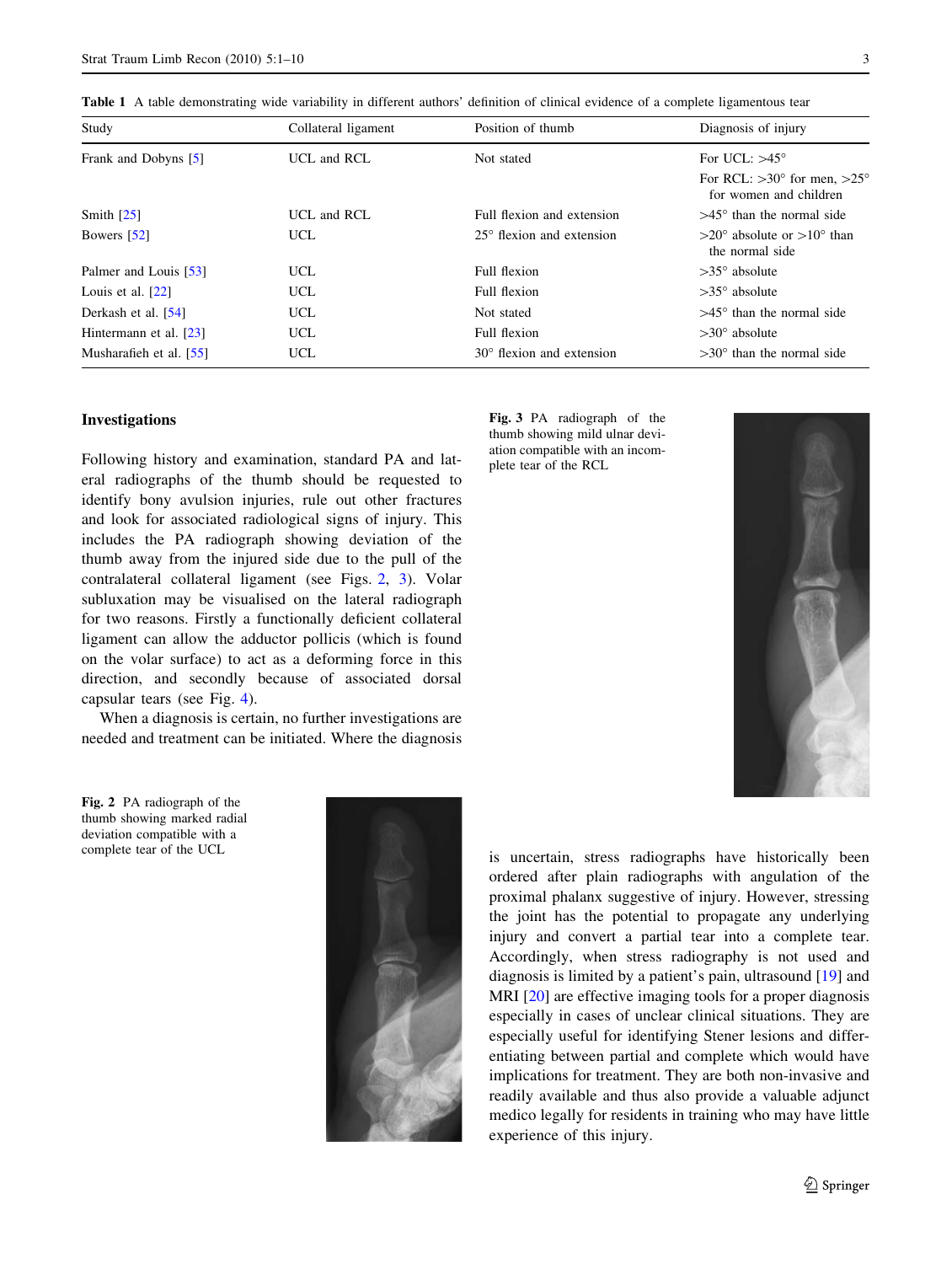<span id="page-2-0"></span>Table 1 A table demonstrating wide variability in different authors' definition of clinical evidence of a complete ligamentous tear

| Study                   | Collateral ligament | Position of thumb                  | Diagnosis of injury                                                     |
|-------------------------|---------------------|------------------------------------|-------------------------------------------------------------------------|
| Frank and Dobyns [5]    | UCL and RCL         | Not stated                         | For UCL: $>45^\circ$                                                    |
|                         |                     |                                    | For RCL: $>30^{\circ}$ for men, $>25^{\circ}$<br>for women and children |
| Smith $\left[25\right]$ | UCL and RCL         | Full flexion and extension         | $>45^{\circ}$ than the normal side                                      |
| Bowers [52]             | UCL                 | $25^{\circ}$ flexion and extension | $>20^{\circ}$ absolute or $>10^{\circ}$ than<br>the normal side         |
| Palmer and Louis [53]   | UCL                 | Full flexion                       | $>35^{\circ}$ absolute                                                  |
| Louis et al. $[22]$     | UCL                 | Full flexion                       | $>35^{\circ}$ absolute                                                  |
| Derkash et al. [54]     | UCL                 | Not stated                         | $>45^{\circ}$ than the normal side                                      |
| Hintermann et al. [23]  | UCL                 | Full flexion                       | $>30^\circ$ absolute                                                    |
| Musharafieh et al. [55] | UCL                 | $30^{\circ}$ flexion and extension | $>30^{\circ}$ than the normal side                                      |

## Investigations

Following history and examination, standard PA and lateral radiographs of the thumb should be requested to identify bony avulsion injuries, rule out other fractures and look for associated radiological signs of injury. This includes the PA radiograph showing deviation of the thumb away from the injured side due to the pull of the contralateral collateral ligament (see Figs. 2, 3). Volar subluxation may be visualised on the lateral radiograph for two reasons. Firstly a functionally deficient collateral ligament can allow the adductor pollicis (which is found on the volar surface) to act as a deforming force in this direction, and secondly because of associated dorsal capsular tears (see Fig. [4](#page-3-0)).

When a diagnosis is certain, no further investigations are needed and treatment can be initiated. Where the diagnosis

Fig. 2 PA radiograph of the thumb showing marked radial deviation compatible with a complete tear of the UCL



Fig. 3 PA radiograph of the thumb showing mild ulnar deviation compatible with an incomplete tear of the RCL



is uncertain, stress radiographs have historically been ordered after plain radiographs with angulation of the proximal phalanx suggestive of injury. However, stressing the joint has the potential to propagate any underlying injury and convert a partial tear into a complete tear. Accordingly, when stress radiography is not used and diagnosis is limited by a patient's pain, ultrasound [[19\]](#page-8-0) and MRI [[20\]](#page-8-0) are effective imaging tools for a proper diagnosis especially in cases of unclear clinical situations. They are especially useful for identifying Stener lesions and differentiating between partial and complete which would have implications for treatment. They are both non-invasive and readily available and thus also provide a valuable adjunct medico legally for residents in training who may have little experience of this injury.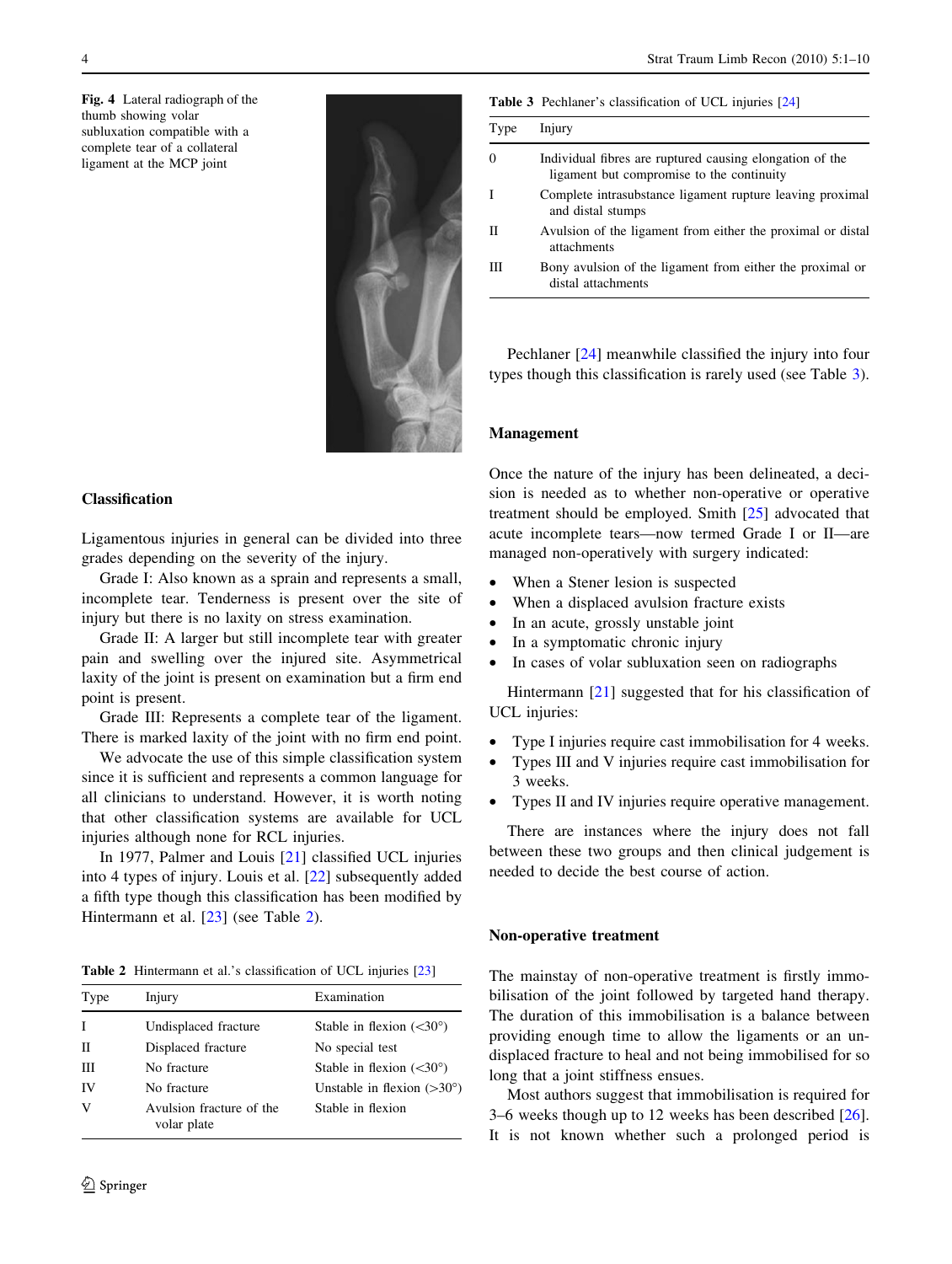<span id="page-3-0"></span>Fig. 4 Lateral radiograph of the thumb showing volar subluxation compatible with a complete tear of a collateral ligament at the MCP joint



# Classification

Ligamentous injuries in general can be divided into three grades depending on the severity of the injury.

Grade I: Also known as a sprain and represents a small, incomplete tear. Tenderness is present over the site of injury but there is no laxity on stress examination.

Grade II: A larger but still incomplete tear with greater pain and swelling over the injured site. Asymmetrical laxity of the joint is present on examination but a firm end point is present.

Grade III: Represents a complete tear of the ligament. There is marked laxity of the joint with no firm end point.

We advocate the use of this simple classification system since it is sufficient and represents a common language for all clinicians to understand. However, it is worth noting that other classification systems are available for UCL injuries although none for RCL injuries.

In 1977, Palmer and Louis [[21\]](#page-8-0) classified UCL injuries into 4 types of injury. Louis et al. [[22\]](#page-8-0) subsequently added a fifth type though this classification has been modified by Hintermann et al. [\[23](#page-8-0)] (see Table 2).

Table 2 Hintermann et al.'s classification of UCL injuries [\[23\]](#page-8-0)

| Type | Injury                                  | Examination                         |
|------|-----------------------------------------|-------------------------------------|
| T    | Undisplaced fracture                    | Stable in flexion $(<30^{\circ})$   |
| П    | Displaced fracture                      | No special test                     |
| Ш    | No fracture                             | Stable in flexion $(<30^{\circ})$   |
| IV   | No fracture                             | Unstable in flexion $(>30^{\circ})$ |
| V    | Avulsion fracture of the<br>volar plate | Stable in flexion                   |

Table 3 Pechlaner's classification of UCL injuries [\[24\]](#page-8-0)

| Type     | Injury                                                                                                |
|----------|-------------------------------------------------------------------------------------------------------|
| $\theta$ | Individual fibres are ruptured causing elongation of the<br>ligament but compromise to the continuity |
|          | Complete intrasubstance ligament rupture leaving proximal<br>and distal stumps                        |
| Н        | Avulsion of the ligament from either the proximal or distal<br>attachments                            |
|          | Bony avulsion of the ligament from either the proximal or<br>distal attachments                       |

Pechlaner [\[24](#page-8-0)] meanwhile classified the injury into four types though this classification is rarely used (see Table 3).

## Management

Once the nature of the injury has been delineated, a decision is needed as to whether non-operative or operative treatment should be employed. Smith [[25\]](#page-8-0) advocated that acute incomplete tears—now termed Grade I or II—are managed non-operatively with surgery indicated:

- When a Stener lesion is suspected
- When a displaced avulsion fracture exists
- In an acute, grossly unstable joint
- In a symptomatic chronic injury
- In cases of volar subluxation seen on radiographs

Hintermann [\[21](#page-8-0)] suggested that for his classification of UCL injuries:

- Type I injuries require cast immobilisation for 4 weeks.
- Types III and V injuries require cast immobilisation for 3 weeks.
- Types II and IV injuries require operative management.

There are instances where the injury does not fall between these two groups and then clinical judgement is needed to decide the best course of action.

#### Non-operative treatment

The mainstay of non-operative treatment is firstly immobilisation of the joint followed by targeted hand therapy. The duration of this immobilisation is a balance between providing enough time to allow the ligaments or an undisplaced fracture to heal and not being immobilised for so long that a joint stiffness ensues.

Most authors suggest that immobilisation is required for 3–6 weeks though up to 12 weeks has been described [\[26](#page-8-0)]. It is not known whether such a prolonged period is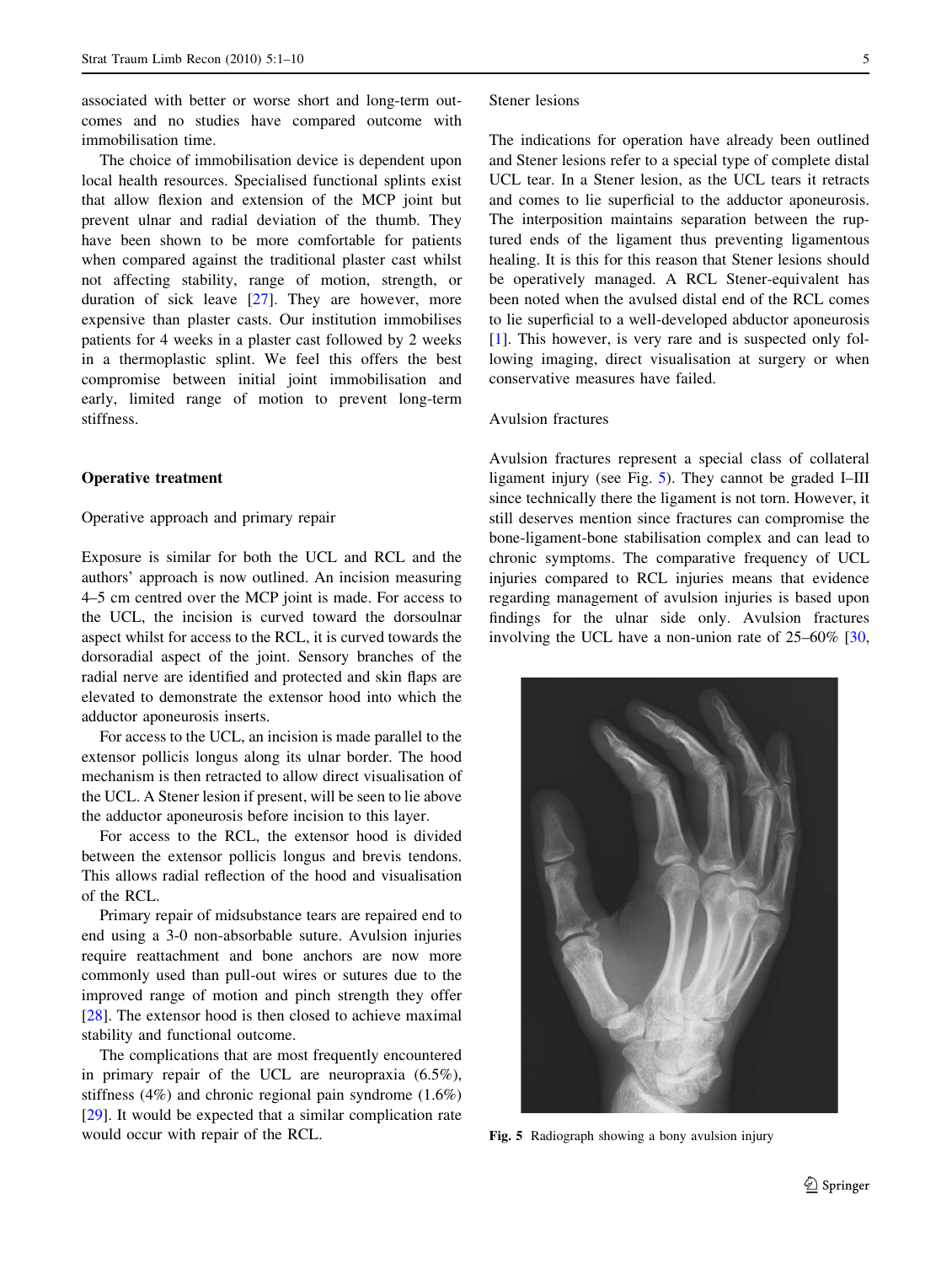associated with better or worse short and long-term outcomes and no studies have compared outcome with immobilisation time.

The choice of immobilisation device is dependent upon local health resources. Specialised functional splints exist that allow flexion and extension of the MCP joint but prevent ulnar and radial deviation of the thumb. They have been shown to be more comfortable for patients when compared against the traditional plaster cast whilst not affecting stability, range of motion, strength, or duration of sick leave [\[27](#page-8-0)]. They are however, more expensive than plaster casts. Our institution immobilises patients for 4 weeks in a plaster cast followed by 2 weeks in a thermoplastic splint. We feel this offers the best compromise between initial joint immobilisation and early, limited range of motion to prevent long-term stiffness.

## Operative treatment

#### Operative approach and primary repair

Exposure is similar for both the UCL and RCL and the authors' approach is now outlined. An incision measuring 4–5 cm centred over the MCP joint is made. For access to the UCL, the incision is curved toward the dorsoulnar aspect whilst for access to the RCL, it is curved towards the dorsoradial aspect of the joint. Sensory branches of the radial nerve are identified and protected and skin flaps are elevated to demonstrate the extensor hood into which the adductor aponeurosis inserts.

For access to the UCL, an incision is made parallel to the extensor pollicis longus along its ulnar border. The hood mechanism is then retracted to allow direct visualisation of the UCL. A Stener lesion if present, will be seen to lie above the adductor aponeurosis before incision to this layer.

For access to the RCL, the extensor hood is divided between the extensor pollicis longus and brevis tendons. This allows radial reflection of the hood and visualisation of the RCL.

Primary repair of midsubstance tears are repaired end to end using a 3-0 non-absorbable suture. Avulsion injuries require reattachment and bone anchors are now more commonly used than pull-out wires or sutures due to the improved range of motion and pinch strength they offer [\[28](#page-8-0)]. The extensor hood is then closed to achieve maximal stability and functional outcome.

The complications that are most frequently encountered in primary repair of the UCL are neuropraxia (6.5%), stiffness (4%) and chronic regional pain syndrome (1.6%) [\[29](#page-8-0)]. It would be expected that a similar complication rate would occur with repair of the RCL.

#### Stener lesions

The indications for operation have already been outlined and Stener lesions refer to a special type of complete distal UCL tear. In a Stener lesion, as the UCL tears it retracts and comes to lie superficial to the adductor aponeurosis. The interposition maintains separation between the ruptured ends of the ligament thus preventing ligamentous healing. It is this for this reason that Stener lesions should be operatively managed. A RCL Stener-equivalent has been noted when the avulsed distal end of the RCL comes to lie superficial to a well-developed abductor aponeurosis [\[1](#page-8-0)]. This however, is very rare and is suspected only following imaging, direct visualisation at surgery or when conservative measures have failed.

# Avulsion fractures

Avulsion fractures represent a special class of collateral ligament injury (see Fig. 5). They cannot be graded I–III since technically there the ligament is not torn. However, it still deserves mention since fractures can compromise the bone-ligament-bone stabilisation complex and can lead to chronic symptoms. The comparative frequency of UCL injuries compared to RCL injuries means that evidence regarding management of avulsion injuries is based upon findings for the ulnar side only. Avulsion fractures involving the UCL have a non-union rate of 25–60% [[30,](#page-8-0)



Fig. 5 Radiograph showing a bony avulsion injury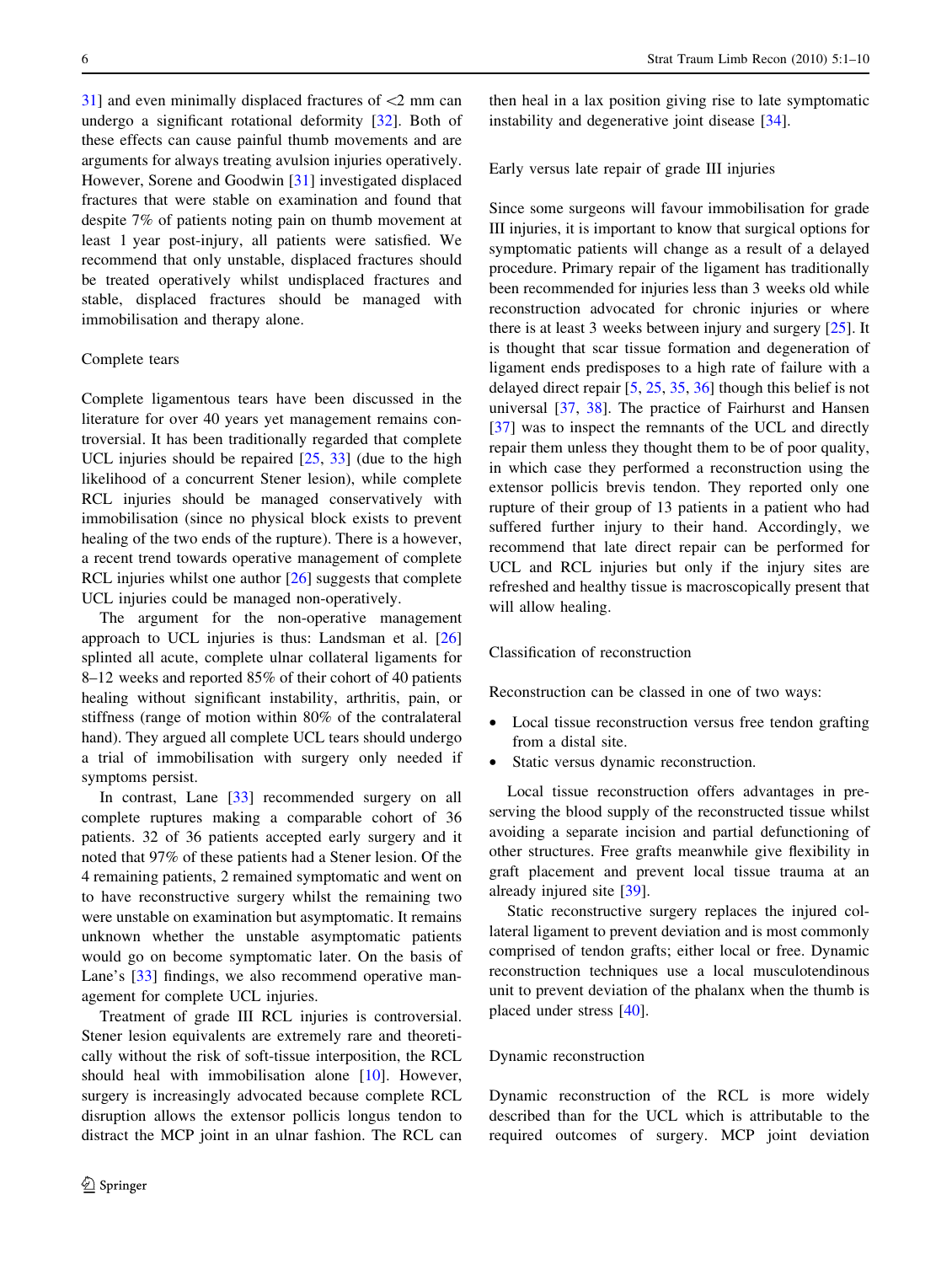$31$ ] and even minimally displaced fractures of  $\leq$ 2 mm can undergo a significant rotational deformity [[32\]](#page-8-0). Both of these effects can cause painful thumb movements and are arguments for always treating avulsion injuries operatively. However, Sorene and Goodwin [[31\]](#page-8-0) investigated displaced fractures that were stable on examination and found that despite 7% of patients noting pain on thumb movement at least 1 year post-injury, all patients were satisfied. We recommend that only unstable, displaced fractures should be treated operatively whilst undisplaced fractures and stable, displaced fractures should be managed with immobilisation and therapy alone.

## Complete tears

Complete ligamentous tears have been discussed in the literature for over 40 years yet management remains controversial. It has been traditionally regarded that complete UCL injuries should be repaired  $[25, 33]$  $[25, 33]$  $[25, 33]$  $[25, 33]$  (due to the high likelihood of a concurrent Stener lesion), while complete RCL injuries should be managed conservatively with immobilisation (since no physical block exists to prevent healing of the two ends of the rupture). There is a however, a recent trend towards operative management of complete RCL injuries whilst one author [[26\]](#page-8-0) suggests that complete UCL injuries could be managed non-operatively.

The argument for the non-operative management approach to UCL injuries is thus: Landsman et al. [[26\]](#page-8-0) splinted all acute, complete ulnar collateral ligaments for 8–12 weeks and reported 85% of their cohort of 40 patients healing without significant instability, arthritis, pain, or stiffness (range of motion within 80% of the contralateral hand). They argued all complete UCL tears should undergo a trial of immobilisation with surgery only needed if symptoms persist.

In contrast, Lane [[33\]](#page-8-0) recommended surgery on all complete ruptures making a comparable cohort of 36 patients. 32 of 36 patients accepted early surgery and it noted that 97% of these patients had a Stener lesion. Of the 4 remaining patients, 2 remained symptomatic and went on to have reconstructive surgery whilst the remaining two were unstable on examination but asymptomatic. It remains unknown whether the unstable asymptomatic patients would go on become symptomatic later. On the basis of Lane's [\[33](#page-8-0)] findings, we also recommend operative management for complete UCL injuries.

Treatment of grade III RCL injuries is controversial. Stener lesion equivalents are extremely rare and theoretically without the risk of soft-tissue interposition, the RCL should heal with immobilisation alone [\[10](#page-8-0)]. However, surgery is increasingly advocated because complete RCL disruption allows the extensor pollicis longus tendon to distract the MCP joint in an ulnar fashion. The RCL can

then heal in a lax position giving rise to late symptomatic instability and degenerative joint disease [\[34](#page-8-0)].

Early versus late repair of grade III injuries

Since some surgeons will favour immobilisation for grade III injuries, it is important to know that surgical options for symptomatic patients will change as a result of a delayed procedure. Primary repair of the ligament has traditionally been recommended for injuries less than 3 weeks old while reconstruction advocated for chronic injuries or where there is at least 3 weeks between injury and surgery [[25\]](#page-8-0). It is thought that scar tissue formation and degeneration of ligament ends predisposes to a high rate of failure with a delayed direct repair [\[5](#page-8-0), [25](#page-8-0), [35](#page-8-0), [36](#page-8-0)] though this belief is not universal [\[37](#page-8-0), [38](#page-8-0)]. The practice of Fairhurst and Hansen [\[37](#page-8-0)] was to inspect the remnants of the UCL and directly repair them unless they thought them to be of poor quality, in which case they performed a reconstruction using the extensor pollicis brevis tendon. They reported only one rupture of their group of 13 patients in a patient who had suffered further injury to their hand. Accordingly, we recommend that late direct repair can be performed for UCL and RCL injuries but only if the injury sites are refreshed and healthy tissue is macroscopically present that will allow healing.

#### Classification of reconstruction

Reconstruction can be classed in one of two ways:

- Local tissue reconstruction versus free tendon grafting from a distal site.
- Static versus dynamic reconstruction.

Local tissue reconstruction offers advantages in preserving the blood supply of the reconstructed tissue whilst avoiding a separate incision and partial defunctioning of other structures. Free grafts meanwhile give flexibility in graft placement and prevent local tissue trauma at an already injured site [\[39](#page-9-0)].

Static reconstructive surgery replaces the injured collateral ligament to prevent deviation and is most commonly comprised of tendon grafts; either local or free. Dynamic reconstruction techniques use a local musculotendinous unit to prevent deviation of the phalanx when the thumb is placed under stress [[40\]](#page-9-0).

#### Dynamic reconstruction

Dynamic reconstruction of the RCL is more widely described than for the UCL which is attributable to the required outcomes of surgery. MCP joint deviation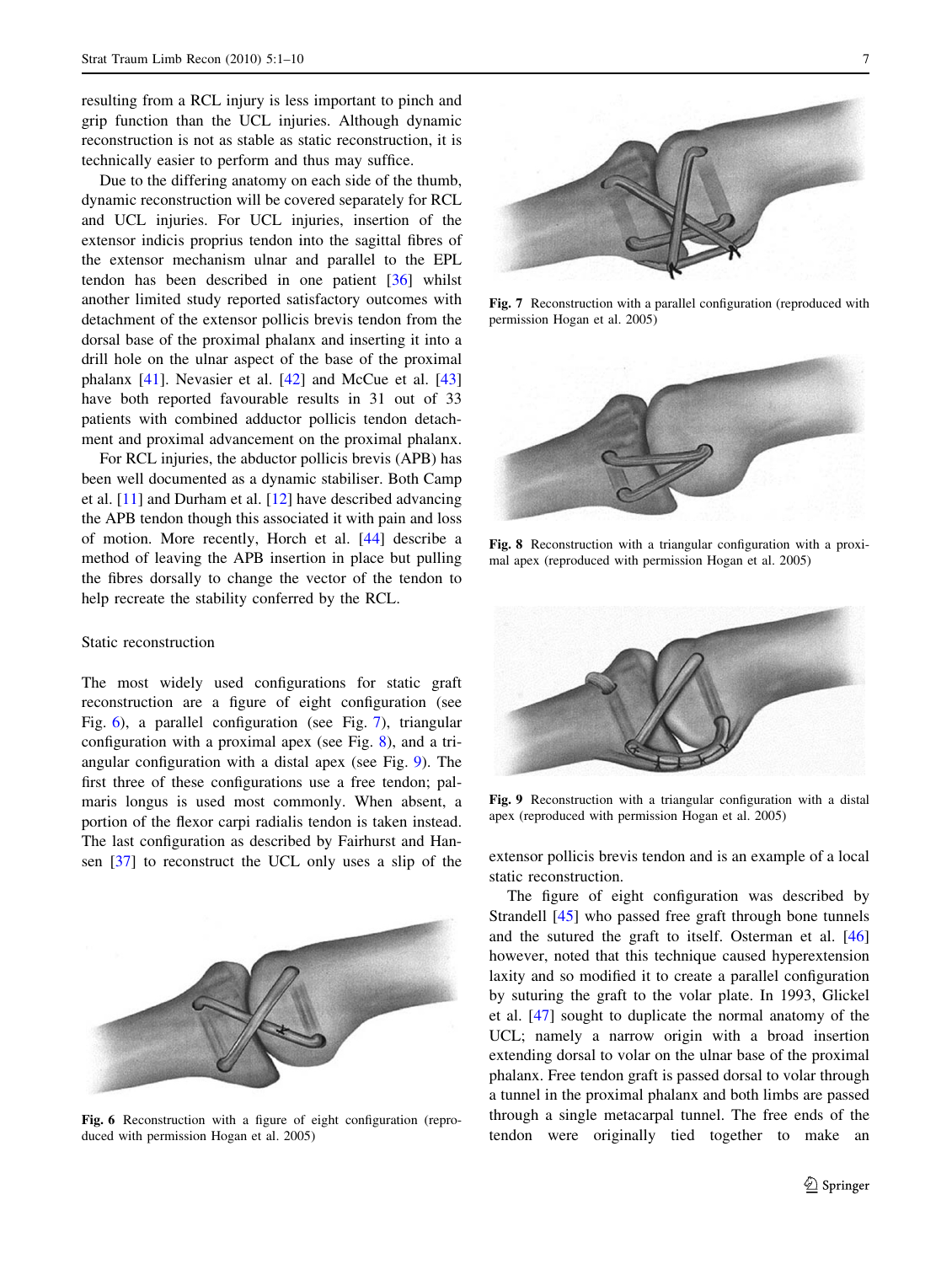resulting from a RCL injury is less important to pinch and grip function than the UCL injuries. Although dynamic reconstruction is not as stable as static reconstruction, it is technically easier to perform and thus may suffice.

Due to the differing anatomy on each side of the thumb, dynamic reconstruction will be covered separately for RCL and UCL injuries. For UCL injuries, insertion of the extensor indicis proprius tendon into the sagittal fibres of the extensor mechanism ulnar and parallel to the EPL tendon has been described in one patient [\[36](#page-8-0)] whilst another limited study reported satisfactory outcomes with detachment of the extensor pollicis brevis tendon from the dorsal base of the proximal phalanx and inserting it into a drill hole on the ulnar aspect of the base of the proximal phalanx [\[41](#page-9-0)]. Nevasier et al. [\[42\]](#page-9-0) and McCue et al. [[43\]](#page-9-0) have both reported favourable results in 31 out of 33 patients with combined adductor pollicis tendon detachment and proximal advancement on the proximal phalanx.

For RCL injuries, the abductor pollicis brevis (APB) has been well documented as a dynamic stabiliser. Both Camp et al. [\[11](#page-8-0)] and Durham et al. [[12\]](#page-8-0) have described advancing the APB tendon though this associated it with pain and loss of motion. More recently, Horch et al. [[44\]](#page-9-0) describe a method of leaving the APB insertion in place but pulling the fibres dorsally to change the vector of the tendon to help recreate the stability conferred by the RCL.

## Static reconstruction

The most widely used configurations for static graft reconstruction are a figure of eight configuration (see Fig. 6), a parallel configuration (see Fig. 7), triangular configuration with a proximal apex (see Fig. 8), and a triangular configuration with a distal apex (see Fig. 9). The first three of these configurations use a free tendon; palmaris longus is used most commonly. When absent, a portion of the flexor carpi radialis tendon is taken instead. The last configuration as described by Fairhurst and Han-sen [\[37](#page-8-0)] to reconstruct the UCL only uses a slip of the extensor pollicis brevis tendon and is an example of a local



Fig. 6 Reconstruction with a figure of eight configuration (reproduced with permission Hogan et al. 2005)



Fig. 7 Reconstruction with a parallel configuration (reproduced with permission Hogan et al. 2005)



Fig. 8 Reconstruction with a triangular configuration with a proximal apex (reproduced with permission Hogan et al. 2005)



Fig. 9 Reconstruction with a triangular configuration with a distal apex (reproduced with permission Hogan et al. 2005)

static reconstruction.

The figure of eight configuration was described by Strandell [\[45](#page-9-0)] who passed free graft through bone tunnels and the sutured the graft to itself. Osterman et al. [[46\]](#page-9-0) however, noted that this technique caused hyperextension laxity and so modified it to create a parallel configuration by suturing the graft to the volar plate. In 1993, Glickel et al. [\[47](#page-9-0)] sought to duplicate the normal anatomy of the UCL; namely a narrow origin with a broad insertion extending dorsal to volar on the ulnar base of the proximal phalanx. Free tendon graft is passed dorsal to volar through a tunnel in the proximal phalanx and both limbs are passed through a single metacarpal tunnel. The free ends of the tendon were originally tied together to make an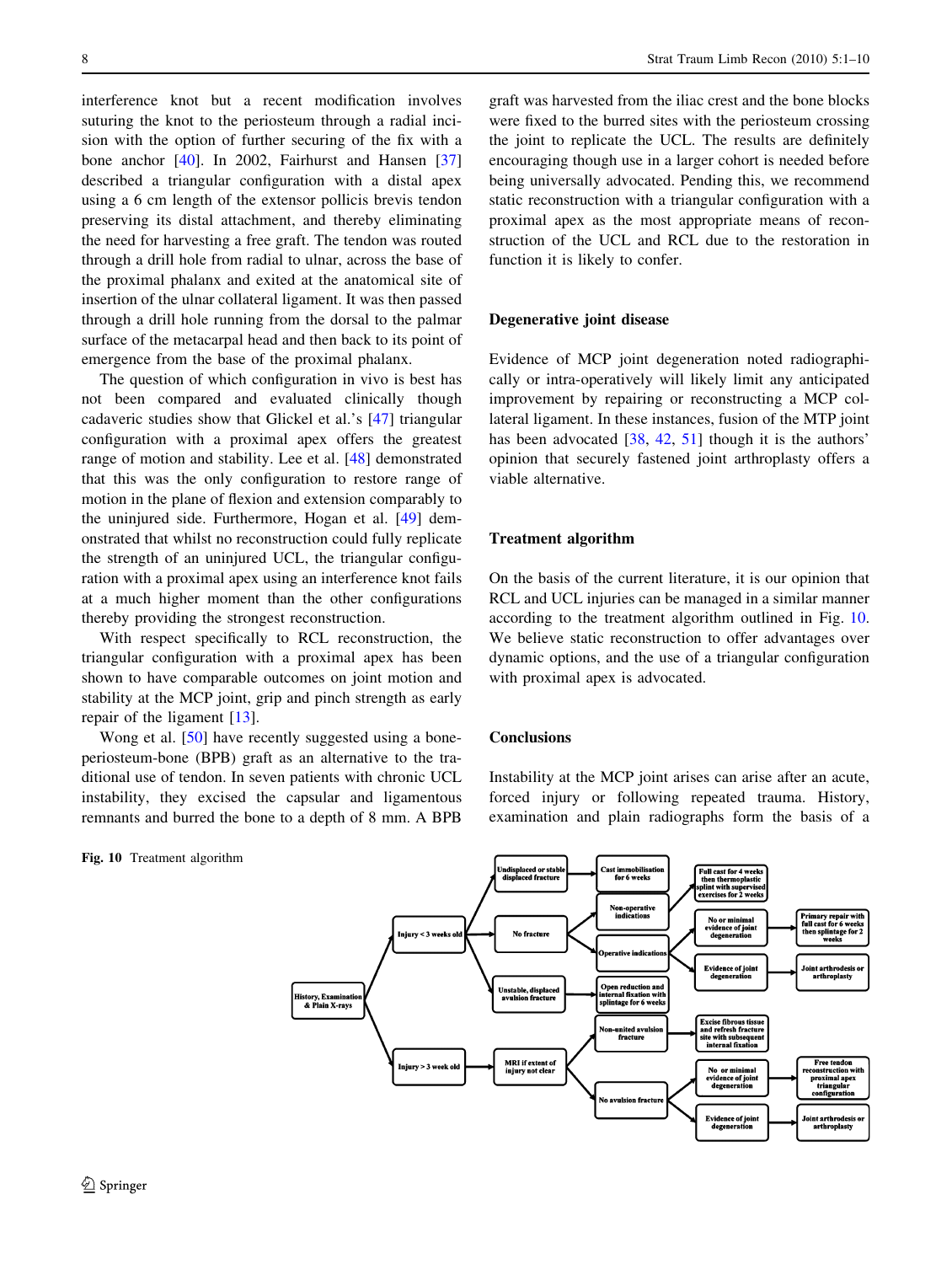interference knot but a recent modification involves suturing the knot to the periosteum through a radial incision with the option of further securing of the fix with a bone anchor [\[40](#page-9-0)]. In 2002, Fairhurst and Hansen [[37\]](#page-8-0) described a triangular configuration with a distal apex using a 6 cm length of the extensor pollicis brevis tendon preserving its distal attachment, and thereby eliminating the need for harvesting a free graft. The tendon was routed through a drill hole from radial to ulnar, across the base of the proximal phalanx and exited at the anatomical site of insertion of the ulnar collateral ligament. It was then passed through a drill hole running from the dorsal to the palmar surface of the metacarpal head and then back to its point of emergence from the base of the proximal phalanx.

The question of which configuration in vivo is best has not been compared and evaluated clinically though cadaveric studies show that Glickel et al.'s [[47](#page-9-0)] triangular configuration with a proximal apex offers the greatest range of motion and stability. Lee et al. [[48\]](#page-9-0) demonstrated that this was the only configuration to restore range of motion in the plane of flexion and extension comparably to the uninjured side. Furthermore, Hogan et al. [[49\]](#page-9-0) demonstrated that whilst no reconstruction could fully replicate the strength of an uninjured UCL, the triangular configuration with a proximal apex using an interference knot fails at a much higher moment than the other configurations thereby providing the strongest reconstruction.

With respect specifically to RCL reconstruction, the triangular configuration with a proximal apex has been shown to have comparable outcomes on joint motion and stability at the MCP joint, grip and pinch strength as early repair of the ligament [[13\]](#page-8-0).

Wong et al. [[50\]](#page-9-0) have recently suggested using a boneperiosteum-bone (BPB) graft as an alternative to the traditional use of tendon. In seven patients with chronic UCL instability, they excised the capsular and ligamentous remnants and burred the bone to a depth of 8 mm. A BPB

Fig. 10 Treatment algorithm

graft was harvested from the iliac crest and the bone blocks were fixed to the burred sites with the periosteum crossing the joint to replicate the UCL. The results are definitely encouraging though use in a larger cohort is needed before being universally advocated. Pending this, we recommend static reconstruction with a triangular configuration with a proximal apex as the most appropriate means of reconstruction of the UCL and RCL due to the restoration in function it is likely to confer.

## Degenerative joint disease

Evidence of MCP joint degeneration noted radiographically or intra-operatively will likely limit any anticipated improvement by repairing or reconstructing a MCP collateral ligament. In these instances, fusion of the MTP joint has been advocated [[38,](#page-8-0) [42](#page-9-0), [51\]](#page-9-0) though it is the authors' opinion that securely fastened joint arthroplasty offers a viable alternative.

# Treatment algorithm

On the basis of the current literature, it is our opinion that RCL and UCL injuries can be managed in a similar manner according to the treatment algorithm outlined in Fig. 10. We believe static reconstruction to offer advantages over dynamic options, and the use of a triangular configuration with proximal apex is advocated.

# **Conclusions**

Instability at the MCP joint arises can arise after an acute, forced injury or following repeated trauma. History, examination and plain radiographs form the basis of a

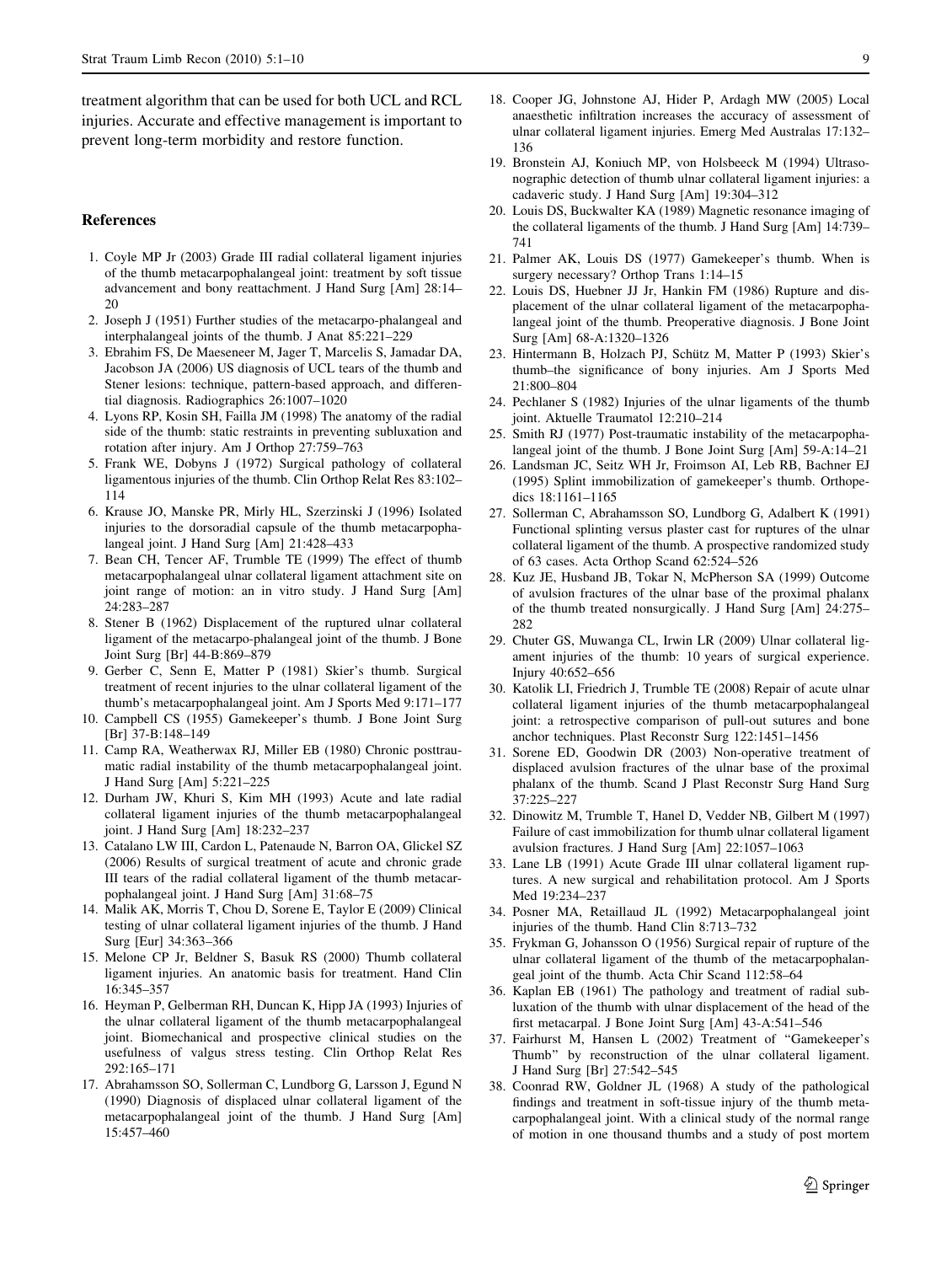<span id="page-8-0"></span>treatment algorithm that can be used for both UCL and RCL injuries. Accurate and effective management is important to prevent long-term morbidity and restore function.

## References

- 1. Coyle MP Jr (2003) Grade III radial collateral ligament injuries of the thumb metacarpophalangeal joint: treatment by soft tissue advancement and bony reattachment. J Hand Surg [Am] 28:14– 20
- 2. Joseph J (1951) Further studies of the metacarpo-phalangeal and interphalangeal joints of the thumb. J Anat 85:221–229
- 3. Ebrahim FS, De Maeseneer M, Jager T, Marcelis S, Jamadar DA, Jacobson JA (2006) US diagnosis of UCL tears of the thumb and Stener lesions: technique, pattern-based approach, and differential diagnosis. Radiographics 26:1007–1020
- 4. Lyons RP, Kosin SH, Failla JM (1998) The anatomy of the radial side of the thumb: static restraints in preventing subluxation and rotation after injury. Am J Orthop 27:759–763
- 5. Frank WE, Dobyns J (1972) Surgical pathology of collateral ligamentous injuries of the thumb. Clin Orthop Relat Res 83:102– 114
- 6. Krause JO, Manske PR, Mirly HL, Szerzinski J (1996) Isolated injuries to the dorsoradial capsule of the thumb metacarpophalangeal joint. J Hand Surg [Am] 21:428–433
- 7. Bean CH, Tencer AF, Trumble TE (1999) The effect of thumb metacarpophalangeal ulnar collateral ligament attachment site on joint range of motion: an in vitro study. J Hand Surg [Am] 24:283–287
- 8. Stener B (1962) Displacement of the ruptured ulnar collateral ligament of the metacarpo-phalangeal joint of the thumb. J Bone Joint Surg [Br] 44-B:869–879
- 9. Gerber C, Senn E, Matter P (1981) Skier's thumb. Surgical treatment of recent injuries to the ulnar collateral ligament of the thumb's metacarpophalangeal joint. Am J Sports Med 9:171–177
- 10. Campbell CS (1955) Gamekeeper's thumb. J Bone Joint Surg [Br] 37-B:148–149
- 11. Camp RA, Weatherwax RJ, Miller EB (1980) Chronic posttraumatic radial instability of the thumb metacarpophalangeal joint. J Hand Surg [Am] 5:221–225
- 12. Durham JW, Khuri S, Kim MH (1993) Acute and late radial collateral ligament injuries of the thumb metacarpophalangeal joint. J Hand Surg [Am] 18:232–237
- 13. Catalano LW III, Cardon L, Patenaude N, Barron OA, Glickel SZ (2006) Results of surgical treatment of acute and chronic grade III tears of the radial collateral ligament of the thumb metacarpophalangeal joint. J Hand Surg [Am] 31:68–75
- 14. Malik AK, Morris T, Chou D, Sorene E, Taylor E (2009) Clinical testing of ulnar collateral ligament injuries of the thumb. J Hand Surg [Eur] 34:363–366
- 15. Melone CP Jr, Beldner S, Basuk RS (2000) Thumb collateral ligament injuries. An anatomic basis for treatment. Hand Clin 16:345–357
- 16. Heyman P, Gelberman RH, Duncan K, Hipp JA (1993) Injuries of the ulnar collateral ligament of the thumb metacarpophalangeal joint. Biomechanical and prospective clinical studies on the usefulness of valgus stress testing. Clin Orthop Relat Res 292:165–171
- 17. Abrahamsson SO, Sollerman C, Lundborg G, Larsson J, Egund N (1990) Diagnosis of displaced ulnar collateral ligament of the metacarpophalangeal joint of the thumb. J Hand Surg [Am] 15:457–460
- 18. Cooper JG, Johnstone AJ, Hider P, Ardagh MW (2005) Local anaesthetic infiltration increases the accuracy of assessment of ulnar collateral ligament injuries. Emerg Med Australas 17:132– 136
- 19. Bronstein AJ, Koniuch MP, von Holsbeeck M (1994) Ultrasonographic detection of thumb ulnar collateral ligament injuries: a cadaveric study. J Hand Surg [Am] 19:304–312
- 20. Louis DS, Buckwalter KA (1989) Magnetic resonance imaging of the collateral ligaments of the thumb. J Hand Surg [Am] 14:739– 741
- 21. Palmer AK, Louis DS (1977) Gamekeeper's thumb. When is surgery necessary? Orthop Trans 1:14–15
- 22. Louis DS, Huebner JJ Jr, Hankin FM (1986) Rupture and displacement of the ulnar collateral ligament of the metacarpophalangeal joint of the thumb. Preoperative diagnosis. J Bone Joint Surg [Am] 68-A:1320–1326
- 23. Hintermann B, Holzach PJ, Schütz M, Matter P (1993) Skier's thumb–the significance of bony injuries. Am J Sports Med 21:800–804
- 24. Pechlaner S (1982) Injuries of the ulnar ligaments of the thumb joint. Aktuelle Traumatol 12:210–214
- 25. Smith RJ (1977) Post-traumatic instability of the metacarpophalangeal joint of the thumb. J Bone Joint Surg [Am] 59-A:14–21
- 26. Landsman JC, Seitz WH Jr, Froimson AI, Leb RB, Bachner EJ (1995) Splint immobilization of gamekeeper's thumb. Orthopedics 18:1161–1165
- 27. Sollerman C, Abrahamsson SO, Lundborg G, Adalbert K (1991) Functional splinting versus plaster cast for ruptures of the ulnar collateral ligament of the thumb. A prospective randomized study of 63 cases. Acta Orthop Scand 62:524–526
- 28. Kuz JE, Husband JB, Tokar N, McPherson SA (1999) Outcome of avulsion fractures of the ulnar base of the proximal phalanx of the thumb treated nonsurgically. J Hand Surg [Am] 24:275– 282
- 29. Chuter GS, Muwanga CL, Irwin LR (2009) Ulnar collateral ligament injuries of the thumb: 10 years of surgical experience. Injury 40:652–656
- 30. Katolik LI, Friedrich J, Trumble TE (2008) Repair of acute ulnar collateral ligament injuries of the thumb metacarpophalangeal joint: a retrospective comparison of pull-out sutures and bone anchor techniques. Plast Reconstr Surg 122:1451–1456
- 31. Sorene ED, Goodwin DR (2003) Non-operative treatment of displaced avulsion fractures of the ulnar base of the proximal phalanx of the thumb. Scand J Plast Reconstr Surg Hand Surg 37:225–227
- 32. Dinowitz M, Trumble T, Hanel D, Vedder NB, Gilbert M (1997) Failure of cast immobilization for thumb ulnar collateral ligament avulsion fractures. J Hand Surg [Am] 22:1057–1063
- 33. Lane LB (1991) Acute Grade III ulnar collateral ligament ruptures. A new surgical and rehabilitation protocol. Am J Sports Med 19:234–237
- 34. Posner MA, Retaillaud JL (1992) Metacarpophalangeal joint injuries of the thumb. Hand Clin 8:713–732
- 35. Frykman G, Johansson O (1956) Surgical repair of rupture of the ulnar collateral ligament of the thumb of the metacarpophalangeal joint of the thumb. Acta Chir Scand 112:58–64
- 36. Kaplan EB (1961) The pathology and treatment of radial subluxation of the thumb with ulnar displacement of the head of the first metacarpal. J Bone Joint Surg [Am] 43-A:541–546
- 37. Fairhurst M, Hansen L (2002) Treatment of ''Gamekeeper's Thumb'' by reconstruction of the ulnar collateral ligament. J Hand Surg [Br] 27:542–545
- 38. Coonrad RW, Goldner JL (1968) A study of the pathological findings and treatment in soft-tissue injury of the thumb metacarpophalangeal joint. With a clinical study of the normal range of motion in one thousand thumbs and a study of post mortem